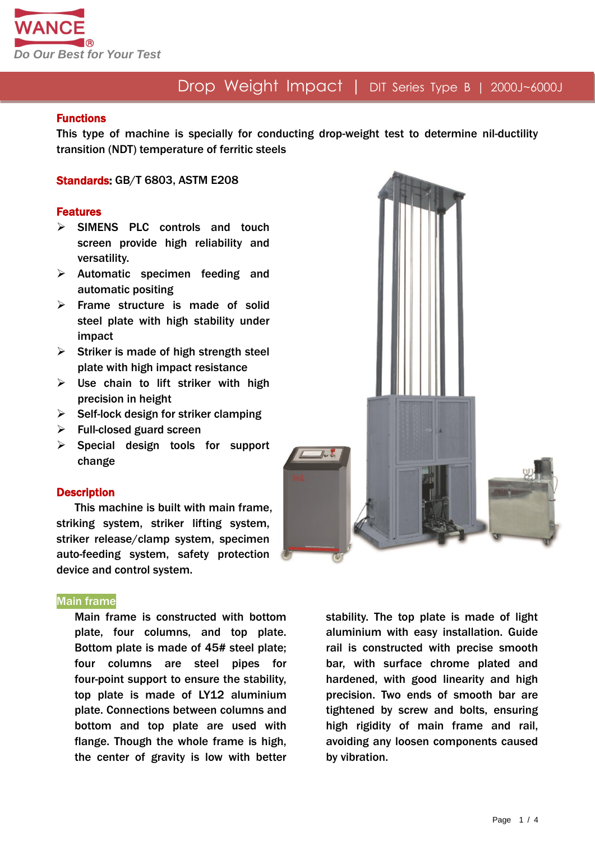

#### Functions

This type of machine is specially for conducting drop-weight test to determine nil-ductility transition (NDT) temperature of ferritic steels

Standards: GB/T 6803, ASTM E208

#### Features

- $\triangleright$  SIMENS PLC controls and touch screen provide high reliability and versatility.
- $\triangleright$  Automatic specimen feeding and automatic positing
- $\triangleright$  Frame structure is made of solid steel plate with high stability under impact
- $\triangleright$  Striker is made of high strength steel plate with high impact resistance
- $\triangleright$  Use chain to lift striker with high precision in height
- $\triangleright$  Self-lock design for striker clamping
- $\triangleright$  Full-closed guard screen
- $\triangleright$  Special design tools for support change

#### **Description**

This machine is built with main frame, striking system, striker lifting system, striker release/clamp system, specimen auto-feeding system, safety protection device and control system.

#### Main frame

Main frame is constructed with bottom plate, four columns, and top plate. Bottom plate is made of 45# steel plate; four columns are steel pipes for four-point support to ensure the stability, top plate is made of LY12 aluminium plate. Connections between columns and bottom and top plate are used with flange. Though the whole frame is high, the center of gravity is low with better



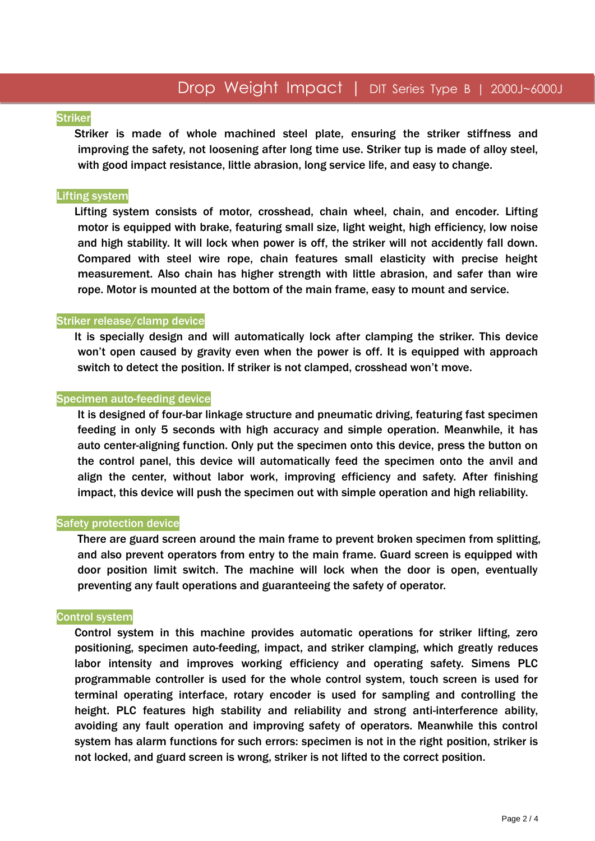#### **Striker**

Striker is made of whole machined steel plate, ensuring the striker stiffness and improving the safety, not loosening after long time use. Striker tup is made of alloy steel, with good impact resistance, little abrasion, long service life, and easy to change.

#### Lifting system

Lifting system consists of motor, crosshead, chain wheel, chain, and encoder. Lifting motor is equipped with brake, featuring small size, light weight, high efficiency, low noise and high stability. It will lock when power is off, the striker will not accidently fall down. Compared with steel wire rope, chain features small elasticity with precise height measurement. Also chain has higher strength with little abrasion, and safer than wire rope. Motor is mounted at the bottom of the main frame, easy to mount and service.

#### Striker release/clamp device

It is specially design and will automatically lock after clamping the striker. This device won't open caused by gravity even when the power is off. It is equipped with approach switch to detect the position. If striker is not clamped, crosshead won't move.

#### Specimen auto-feeding device

It is designed of four-bar linkage structure and pneumatic driving, featuring fast specimen feeding in only 5 seconds with high accuracy and simple operation. Meanwhile, it has auto center-aligning function. Only put the specimen onto this device, press the button on the control panel, this device will automatically feed the specimen onto the anvil and align the center, without labor work, improving efficiency and safety. After finishing impact, this device will push the specimen out with simple operation and high reliability.

#### Safety protection device

There are guard screen around the main frame to prevent broken specimen from splitting, and also prevent operators from entry to the main frame. Guard screen is equipped with door position limit switch. The machine will lock when the door is open, eventually preventing any fault operations and guaranteeing the safety of operator.

#### Control system

Control system in this machine provides automatic operations for striker lifting, zero positioning, specimen auto-feeding, impact, and striker clamping, which greatly reduces labor intensity and improves working efficiency and operating safety. Simens PLC programmable controller is used for the whole control system, touch screen is used for terminal operating interface, rotary encoder is used for sampling and controlling the height. PLC features high stability and reliability and strong anti-interference ability, avoiding any fault operation and improving safety of operators. Meanwhile this control system has alarm functions for such errors: specimen is not in the right position, striker is not locked, and guard screen is wrong, striker is not lifted to the correct position.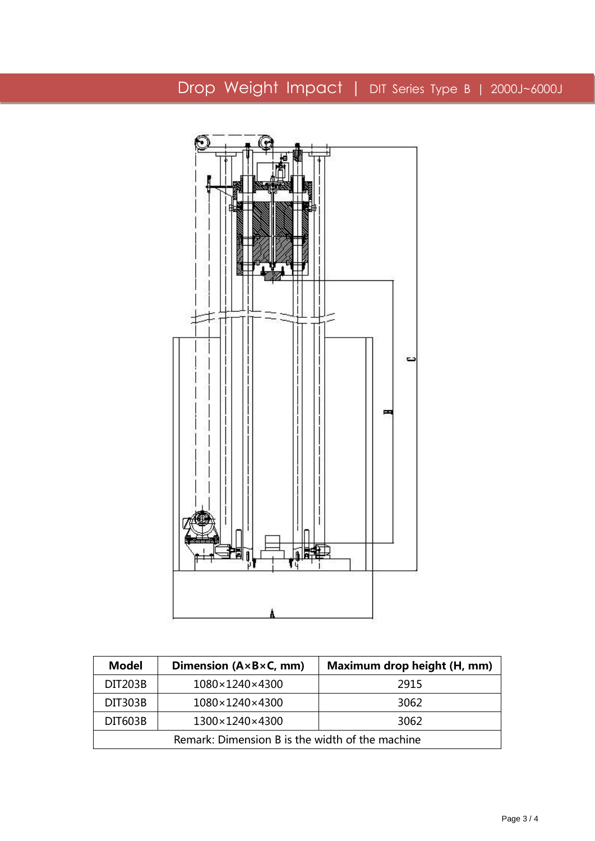

| <b>Model</b>                                    | Dimension $(A \times B \times C, \text{ mm})$ | Maximum drop height (H, mm) |  |
|-------------------------------------------------|-----------------------------------------------|-----------------------------|--|
| <b>DIT203B</b>                                  | 1080×1240×4300                                | 2915                        |  |
| <b>DIT303B</b>                                  | 1080×1240×4300                                | 3062                        |  |
| <b>DIT603B</b>                                  | 1300×1240×4300                                | 3062                        |  |
| Remark: Dimension B is the width of the machine |                                               |                             |  |